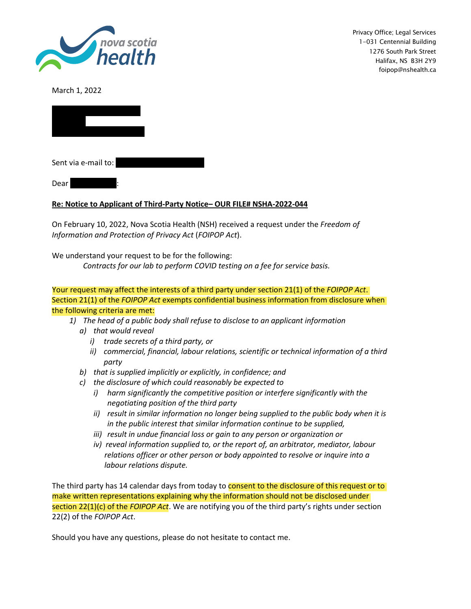

Privacy Office; Legal Services 1-031 Centennial Building 1276 South Park Street Halifax, NS B3H 2Y9 foipop@nshealth.ca

March 1, 2022



Sent via e-mail to:

 $Dear$ 

## **Re: Notice to Applicant of Third-Party Notice– OUR FILE# NSHA-2022-044**

On February 10, 2022, Nova Scotia Health (NSH) received a request under the *Freedom of Information and Protection of Privacy Act* (*FOIPOP Act*).

We understand your request to be for the following:

*Contracts for our lab to perform COVID testing on a fee for service basis.*

## Your request may affect the interests of a third party under section 21(1) of the *FOIPOP Act*. Section 21(1) of the *FOIPOP Act* exempts confidential business information from disclosure when the following criteria are met:

- *1) The head of a public body shall refuse to disclose to an applicant information*
	- *a) that would reveal*
		- *i) trade secrets of a third party, or*
		- *ii) commercial, financial, labour relations, scientific or technical information of a third party*
	- *b) that is supplied implicitly or explicitly, in confidence; and*
	- *c) the disclosure of which could reasonably be expected to*
		- *i) harm significantly the competitive position or interfere significantly with the negotiating position of the third party*
		- *ii) result in similar information no longer being supplied to the public body when it is in the public interest that similar information continue to be supplied,*
		- *iii) result in undue financial loss or gain to any person or organization or*
		- *iv) reveal information supplied to, or the report of, an arbitrator, mediator, labour relations officer or other person or body appointed to resolve or inquire into a labour relations dispute.*

The third party has 14 calendar days from today to consent to the disclosure of this request or to make written representations explaining why the information should not be disclosed under section 22(1)(c) of the *FOIPOP Act*. We are notifying you of the third party's rights under section 22(2) of the *FOIPOP Act*.

Should you have any questions, please do not hesitate to contact me.